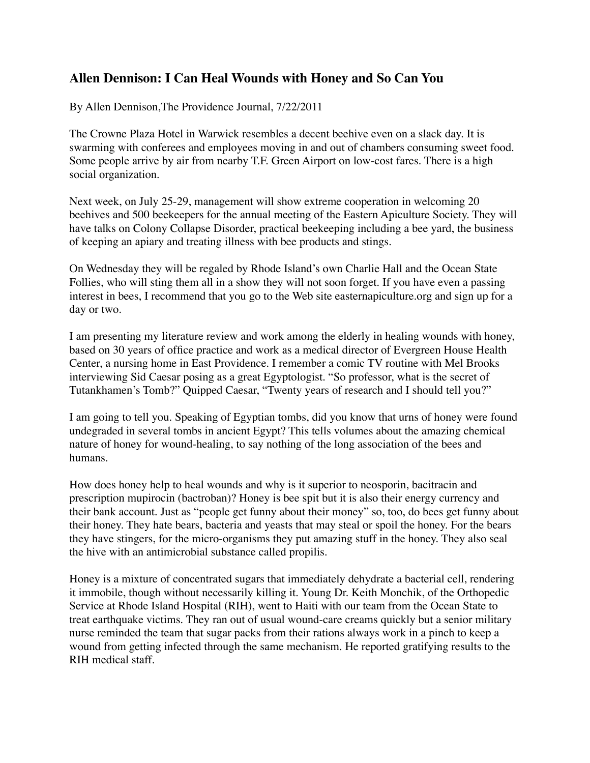## **Allen Dennison: I Can Heal Wounds with Honey and So Can You**

By Allen Dennison,The Providence Journal, 7/22/2011

The Crowne Plaza Hotel in Warwick resembles a decent beehive even on a slack day. It is swarming with conferees and employees moving in and out of chambers consuming sweet food. Some people arrive by air from nearby T.F. Green Airport on low-cost fares. There is a high social organization.

Next week, on July 25-29, management will show extreme cooperation in welcoming 20 beehives and 500 beekeepers for the annual meeting of the Eastern Apiculture Society. They will have talks on Colony Collapse Disorder, practical beekeeping including a bee yard, the business of keeping an apiary and treating illness with bee products and stings.

On Wednesday they will be regaled by Rhode Island's own Charlie Hall and the Ocean State Follies, who will sting them all in a show they will not soon forget. If you have even a passing interest in bees, I recommend that you go to the Web site easternapiculture.org and sign up for a day or two.

I am presenting my literature review and work among the elderly in healing wounds with honey, based on 30 years of office practice and work as a medical director of Evergreen House Health Center, a nursing home in East Providence. I remember a comic TV routine with Mel Brooks interviewing Sid Caesar posing as a great Egyptologist. "So professor, what is the secret of Tutankhamen's Tomb?" Quipped Caesar, "Twenty years of research and I should tell you?"

I am going to tell you. Speaking of Egyptian tombs, did you know that urns of honey were found undegraded in several tombs in ancient Egypt? This tells volumes about the amazing chemical nature of honey for wound-healing, to say nothing of the long association of the bees and humans.

How does honey help to heal wounds and why is it superior to neosporin, bacitracin and prescription mupirocin (bactroban)? Honey is bee spit but it is also their energy currency and their bank account. Just as "people get funny about their money" so, too, do bees get funny about their honey. They hate bears, bacteria and yeasts that may steal or spoil the honey. For the bears they have stingers, for the micro-organisms they put amazing stuff in the honey. They also seal the hive with an antimicrobial substance called propilis.

Honey is a mixture of concentrated sugars that immediately dehydrate a bacterial cell, rendering it immobile, though without necessarily killing it. Young Dr. Keith Monchik, of the Orthopedic Service at Rhode Island Hospital (RIH), went to Haiti with our team from the Ocean State to treat earthquake victims. They ran out of usual wound-care creams quickly but a senior military nurse reminded the team that sugar packs from their rations always work in a pinch to keep a wound from getting infected through the same mechanism. He reported gratifying results to the RIH medical staff.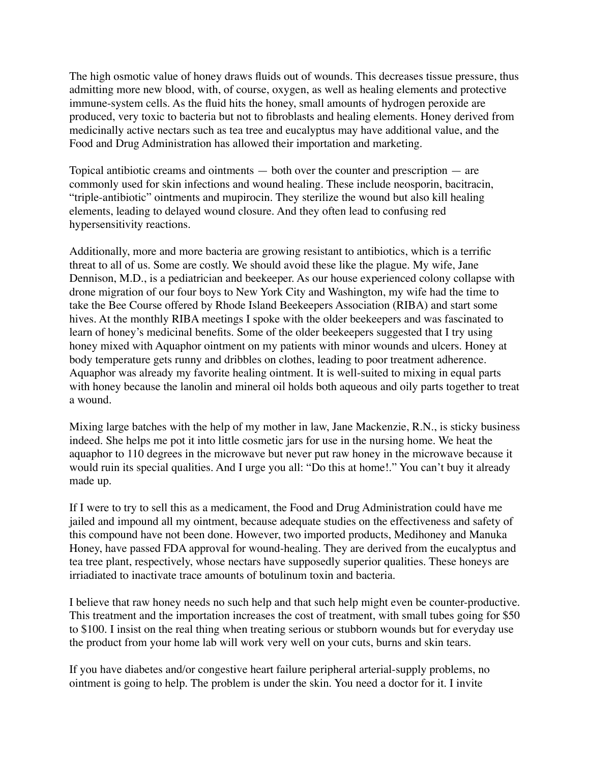The high osmotic value of honey draws fluids out of wounds. This decreases tissue pressure, thus admitting more new blood, with, of course, oxygen, as well as healing elements and protective immune-system cells. As the fluid hits the honey, small amounts of hydrogen peroxide are produced, very toxic to bacteria but not to fibroblasts and healing elements. Honey derived from medicinally active nectars such as tea tree and eucalyptus may have additional value, and the Food and Drug Administration has allowed their importation and marketing.

Topical antibiotic creams and ointments — both over the counter and prescription — are commonly used for skin infections and wound healing. These include neosporin, bacitracin, "triple-antibiotic" ointments and mupirocin. They sterilize the wound but also kill healing elements, leading to delayed wound closure. And they often lead to confusing red hypersensitivity reactions.

Additionally, more and more bacteria are growing resistant to antibiotics, which is a terrific threat to all of us. Some are costly. We should avoid these like the plague. My wife, Jane Dennison, M.D., is a pediatrician and beekeeper. As our house experienced colony collapse with drone migration of our four boys to New York City and Washington, my wife had the time to take the Bee Course offered by Rhode Island Beekeepers Association (RIBA) and start some hives. At the monthly RIBA meetings I spoke with the older beekeepers and was fascinated to learn of honey's medicinal benefits. Some of the older beekeepers suggested that I try using honey mixed with Aquaphor ointment on my patients with minor wounds and ulcers. Honey at body temperature gets runny and dribbles on clothes, leading to poor treatment adherence. Aquaphor was already my favorite healing ointment. It is well-suited to mixing in equal parts with honey because the lanolin and mineral oil holds both aqueous and oily parts together to treat a wound.

Mixing large batches with the help of my mother in law, Jane Mackenzie, R.N., is sticky business indeed. She helps me pot it into little cosmetic jars for use in the nursing home. We heat the aquaphor to 110 degrees in the microwave but never put raw honey in the microwave because it would ruin its special qualities. And I urge you all: "Do this at home!." You can't buy it already made up.

If I were to try to sell this as a medicament, the Food and Drug Administration could have me jailed and impound all my ointment, because adequate studies on the effectiveness and safety of this compound have not been done. However, two imported products, Medihoney and Manuka Honey, have passed FDA approval for wound-healing. They are derived from the eucalyptus and tea tree plant, respectively, whose nectars have supposedly superior qualities. These honeys are irriadiated to inactivate trace amounts of botulinum toxin and bacteria.

I believe that raw honey needs no such help and that such help might even be counter-productive. This treatment and the importation increases the cost of treatment, with small tubes going for \$50 to \$100. I insist on the real thing when treating serious or stubborn wounds but for everyday use the product from your home lab will work very well on your cuts, burns and skin tears.

If you have diabetes and/or congestive heart failure peripheral arterial-supply problems, no ointment is going to help. The problem is under the skin. You need a doctor for it. I invite